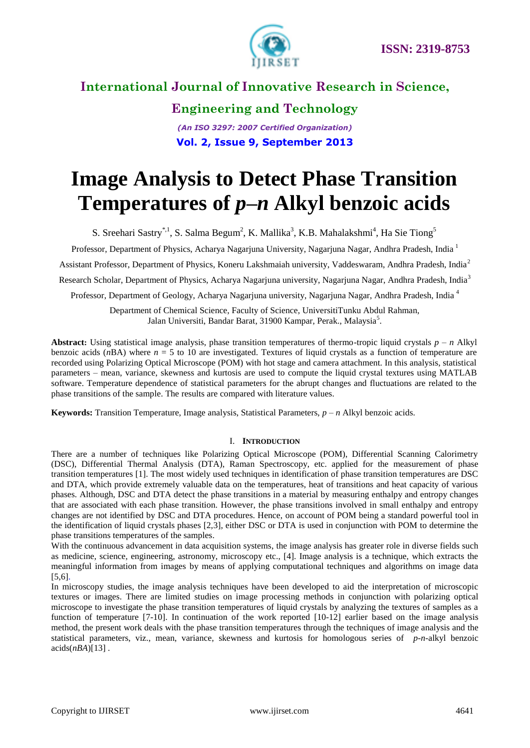

**Engineering and Technology** *(An ISO 3297: 2007 Certified Organization)*

**Vol. 2, Issue 9, September 2013**

# **Image Analysis to Detect Phase Transition Temperatures of** *p–n* **Alkyl benzoic acids**

S. Sreehari Sastry<sup>\*,1</sup>, S. Salma Begum<sup>2</sup>, K. Mallika<sup>3</sup>, K.B. Mahalakshmi<sup>4</sup>, Ha Sie Tiong<sup>5</sup>

Professor, Department of Physics, Acharya Nagarjuna University, Nagarjuna Nagar, Andhra Pradesh, India <sup>1</sup>

Assistant Professor, Department of Physics, Koneru Lakshmaiah university, Vaddeswaram, Andhra Pradesh, India<sup>2</sup>

Research Scholar, Department of Physics, Acharya Nagarjuna university, Nagarjuna Nagar, Andhra Pradesh, India<sup>3</sup>

Professor, Department of Geology, Acharya Nagarjuna university, Nagarjuna Nagar, Andhra Pradesh, India <sup>4</sup>

Department of Chemical Science, Faculty of Science, UniversitiTunku Abdul Rahman, Jalan Universiti, Bandar Barat, 31900 Kampar, Perak., Malaysia<sup>5</sup>.

**Abstract:** Using statistical image analysis, phase transition temperatures of thermo-tropic liquid crystals  $p - n$  Alkyl benzoic acids  $(nBA)$  where  $n = 5$  to 10 are investigated. Textures of liquid crystals as a function of temperature are recorded using Polarizing Optical Microscope (POM) with hot stage and camera attachment. In this analysis, statistical parameters – mean, variance, skewness and kurtosis are used to compute the liquid crystal textures using MATLAB software. Temperature dependence of statistical parameters for the abrupt changes and fluctuations are related to the phase transitions of the sample. The results are compared with literature values.

**Keywords:** Transition Temperature, Image analysis, Statistical Parameters, *p – n* Alkyl benzoic acids.

#### I. **INTRODUCTION**

There are a number of techniques like Polarizing Optical Microscope (POM), Differential Scanning Calorimetry (DSC), Differential Thermal Analysis (DTA), Raman Spectroscopy, etc. applied for the measurement of phase transition temperatures [1]. The most widely used techniques in identification of phase transition temperatures are DSC and DTA, which provide extremely valuable data on the temperatures, heat of transitions and heat capacity of various phases. Although, DSC and DTA detect the phase transitions in a material by measuring enthalpy and entropy changes that are associated with each phase transition. However, the phase transitions involved in small enthalpy and entropy changes are not identified by DSC and DTA procedures. Hence, on account of POM being a standard powerful tool in the identification of liquid crystals phases [2,3], either DSC or DTA is used in conjunction with POM to determine the phase transitions temperatures of the samples.

With the continuous advancement in data acquisition systems, the image analysis has greater role in diverse fields such as medicine, science, engineering, astronomy, microscopy etc., [4]. Image analysis is a technique, which extracts the meaningful information from images by means of applying computational techniques and algorithms on image data [5,6].

In microscopy studies, the image analysis techniques have been developed to aid the interpretation of microscopic textures or images. There are limited studies on image processing methods in conjunction with polarizing optical microscope to investigate the phase transition temperatures of liquid crystals by analyzing the textures of samples as a function of temperature [7-10]. In continuation of the work reported [10-12] earlier based on the image analysis method, the present work deals with the phase transition temperatures through the techniques of image analysis and the statistical parameters, viz., mean, variance, skewness and kurtosis for homologous series of *p-n-*alkyl benzoic acids(*nBA*)[13] .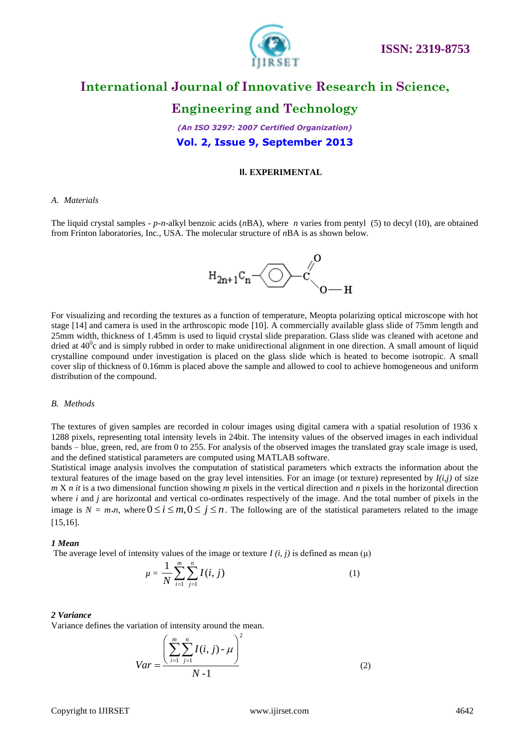

### **Engineering and Technology**

*(An ISO 3297: 2007 Certified Organization)* **Vol. 2, Issue 9, September 2013**

#### **II. EXPERIMENTAL**

#### *A. Materials*

The liquid crystal samples - *p-n-*alkyl benzoic acids (*n*BA), where *n* varies from pentyl (5) to decyl (10), are obtained from Frinton laboratories, Inc., USA. The molecular structure of *n*BA is as shown below.



For visualizing and recording the textures as a function of temperature, Meopta polarizing optical microscope with hot stage [14] and camera is used in the arthroscopic mode [10]. A commercially available glass slide of 75mm length and 25mm width, thickness of 1.45mm is used to liquid crystal slide preparation. Glass slide was cleaned with acetone and dried at  $40^{\circ}$ c and is simply rubbed in order to make unidirectional alignment in one direction. A small amount of liquid crystalline compound under investigation is placed on the glass slide which is heated to become isotropic. A small cover slip of thickness of 0.16mm is placed above the sample and allowed to cool to achieve homogeneous and uniform distribution of the compound.

#### *B. Methods*

The textures of given samples are recorded in colour images using digital camera with a spatial resolution of 1936 x 1288 pixels, representing total intensity levels in 24bit. The intensity values of the observed images in each individual bands – blue, green, red, are from 0 to 255. For analysis of the observed images the translated gray scale image is used, and the defined statistical parameters are computed using MATLAB software.

Statistical image analysis involves the computation of statistical parameters which extracts the information about the textural features of the image based on the gray level intensities. For an image (or texture) represented by *I(i,j)* of size *m* X *n it* is a two dimensional function showing *m* pixels in the vertical direction and *n* pixels in the horizontal direction where *i* and *j* are horizontal and vertical co-ordinates respectively of the image. And the total number of pixels in the image is  $N = m_*n$ , where  $0 \le i \le m, 0 \le j \le n$ . The following are of the statistical parameters related to the image [15,16].

#### *1 Mean*

The average level of intensity values of the image or texture *I* (*i, j*) is defined as mean ( $\mu$ )

$$
\mu = \frac{1}{N} \sum_{i=1}^{m} \sum_{j=1}^{n} I(i, j) \tag{1}
$$

#### *2 Variance*

Variance defines the variation of intensity around the mean.

$$
Var = \frac{\left(\sum_{i=1}^{m} \sum_{j=1}^{n} I(i, j) - \mu\right)^{2}}{N - 1}
$$
 (2)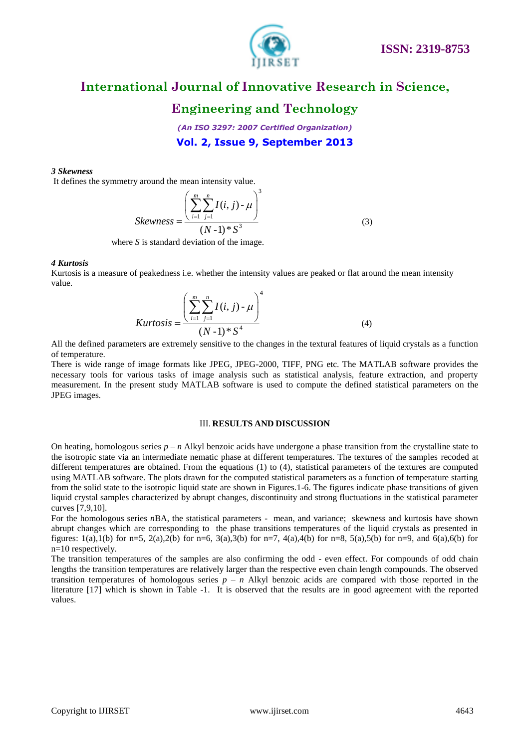

### **Engineering and Technology**

*(An ISO 3297: 2007 Certified Organization)* **Vol. 2, Issue 9, September 2013**

#### *3 Skewness*

It defines the symmetry around the mean intensity value.

$$
Skewness = \frac{\left(\sum_{i=1}^{m} \sum_{j=1}^{n} I(i, j) - \mu\right)^{3}}{(N-1)^{*} S^{3}}
$$
(3)

where *S* is standard deviation of the image.

#### *4 Kurtosis*

Kurtosis is a measure of peakedness i.e. whether the intensity values are peaked or flat around the mean intensity value.

$$
Kurtosis = \frac{\left(\sum_{i=1}^{m} \sum_{j=1}^{n} I(i, j) - \mu\right)^{4}}{(N-1)^{*} S^{4}}
$$
(4)

All the defined parameters are extremely sensitive to the changes in the textural features of liquid crystals as a function of temperature.

There is wide range of image formats like JPEG, JPEG-2000, TIFF, PNG etc. The MATLAB software provides the necessary tools for various tasks of image analysis such as statistical analysis, feature extraction, and property measurement. In the present study MATLAB software is used to compute the defined statistical parameters on the JPEG images.

#### III. **RESULTS AND DISCUSSION**

On heating, homologous series *p – n* Alkyl benzoic acids have undergone a phase transition from the crystalline state to the isotropic state via an intermediate nematic phase at different temperatures. The textures of the samples recoded at different temperatures are obtained. From the equations (1) to (4), statistical parameters of the textures are computed using MATLAB software. The plots drawn for the computed statistical parameters as a function of temperature starting from the solid state to the isotropic liquid state are shown in Figures.1-6. The figures indicate phase transitions of given liquid crystal samples characterized by abrupt changes, discontinuity and strong fluctuations in the statistical parameter curves [7,9,10].

For the homologous series *n*BA, the statistical parameters - mean, and variance; skewness and kurtosis have shown abrupt changes which are corresponding to the phase transitions temperatures of the liquid crystals as presented in figures: 1(a),1(b) for n=5, 2(a),2(b) for n=6, 3(a),3(b) for n=7, 4(a),4(b) for n=8, 5(a),5(b) for n=9, and 6(a),6(b) for n=10 respectively.

The transition temperatures of the samples are also confirming the odd - even effect. For compounds of odd chain lengths the transition temperatures are relatively larger than the respective even chain length compounds. The observed transition temperatures of homologous series  $p - n$  Alkyl benzoic acids are compared with those reported in the literature [17] which is shown in Table -1. It is observed that the results are in good agreement with the reported values.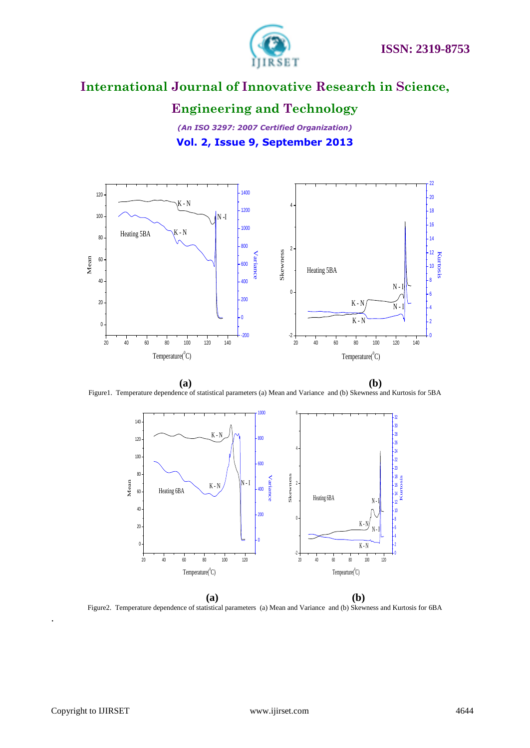

## **Engineering and Technology**

*(An ISO 3297: 2007 Certified Organization)* **Vol. 2, Issue 9, September 2013**



**(a) (b)** Figure1. Temperature dependence of statistical parameters (a) Mean and Variance and (b) Skewness and Kurtosis for 5BA



 **(a) (b)** Figure2. Temperature dependence of statistical parameters (a) Mean and Variance and (b) Skewness and Kurtosis for 6BA

.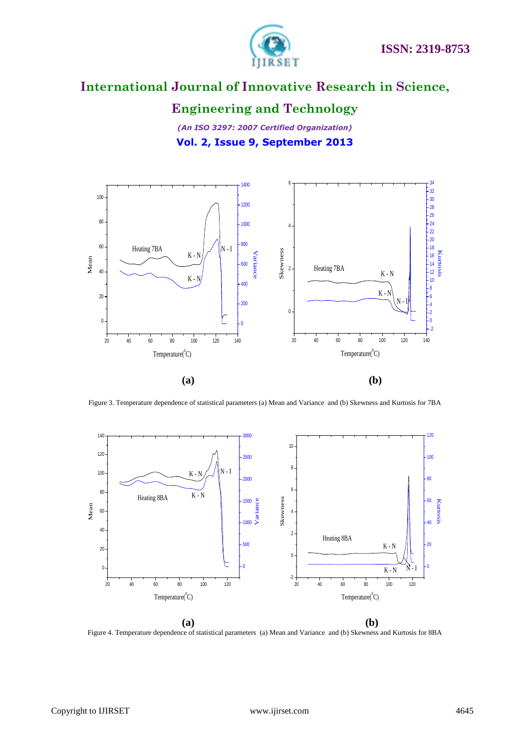

## **Engineering and Technology**

*(An ISO 3297: 2007 Certified Organization)* **Vol. 2, Issue 9, September 2013**



Figure 3. Temperature dependence of statistical parameters (a) Mean and Variance and (b) Skewness and Kurtosis for 7BA



Figure 4. Temperature dependence of statistical parameters (a) Mean and Variance and (b) Skewness and Kurtosis for 8BA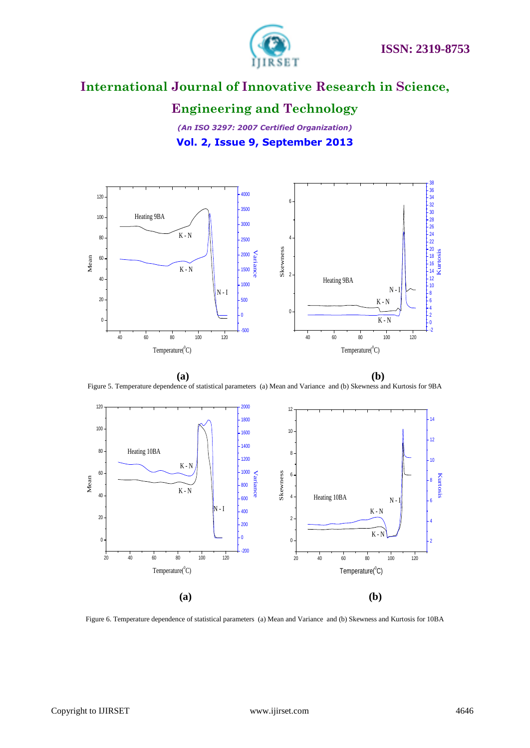

### **Engineering and Technology**

*(An ISO 3297: 2007 Certified Organization)* **Vol. 2, Issue 9, September 2013**



**(a) (b)** Figure 5. Temperature dependence of statistical parameters (a) Mean and Variance and (b) Skewness and Kurtosis for 9BA



Figure 6. Temperature dependence of statistical parameters (a) Mean and Variance and (b) Skewness and Kurtosis for 10BA